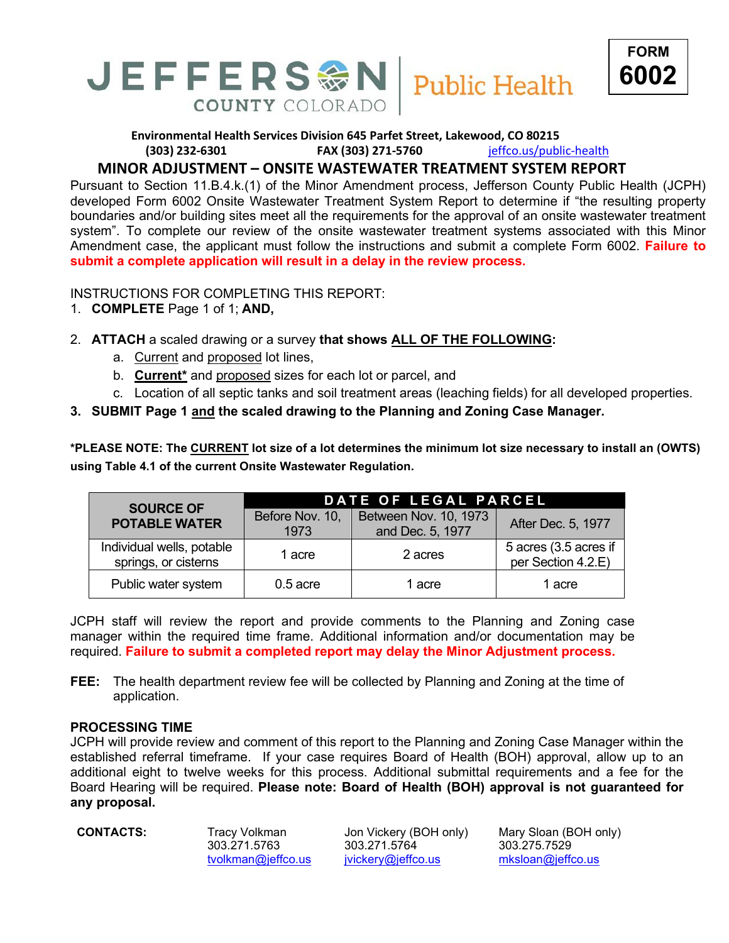

**Environmental Health Services Division 645 Parfet Street, Lakewood, CO 80215 (303) 232-6301 FAX (303) 271-5760** [jeffco.us/public-health](http://www.jeffco.us/health)

## **MINOR ADJUSTMENT – ONSITE WASTEWATER TREATMENT SYSTEM REPORT**

Pursuant to Section 11.B.4.k.(1) of the Minor Amendment process, Jefferson County Public Health (JCPH) developed Form 6002 Onsite Wastewater Treatment System Report to determine if "the resulting property boundaries and/or building sites meet all the requirements for the approval of an onsite wastewater treatment system". To complete our review of the onsite wastewater treatment systems associated with this Minor Amendment case, the applicant must follow the instructions and submit a complete Form 6002. **Failure to submit a complete application will result in a delay in the review process.**

INSTRUCTIONS FOR COMPLETING THIS REPORT:

- 1. **COMPLETE** Page 1 of 1; **AND,**
- 2. **ATTACH** a scaled drawing or a survey **that shows ALL OF THE FOLLOWING:**
	- a. Current and proposed lot lines,
	- b. **Current\*** and proposed sizes for each lot or parcel, and

**COUNTY COLORADO** 

- c. Location of all septic tanks and soil treatment areas (leaching fields) for all developed properties.
- **3. SUBMIT Page 1 and the scaled drawing to the Planning and Zoning Case Manager.**

**\*PLEASE NOTE: The CURRENT lot size of a lot determines the minimum lot size necessary to install an (OWTS) using Table 4.1 of the current Onsite Wastewater Regulation.**

| <b>SOURCE OF</b><br><b>POTABLE WATER</b>          | DATE OF LEGAL PARCEL    |                                           |                                             |  |
|---------------------------------------------------|-------------------------|-------------------------------------------|---------------------------------------------|--|
|                                                   | Before Nov. 10,<br>1973 | Between Nov. 10, 1973<br>and Dec. 5, 1977 | After Dec. 5, 1977                          |  |
| Individual wells, potable<br>springs, or cisterns | 1 acre                  | 2 acres                                   | 5 acres (3.5 acres if<br>per Section 4.2.E) |  |
| Public water system                               | $0.5$ acre              | 1 acre                                    | 1 acre                                      |  |

JCPH staff will review the report and provide comments to the Planning and Zoning case manager within the required time frame. Additional information and/or documentation may be required. **Failure to submit a completed report may delay the Minor Adjustment process.**

**FEE:** The health department review fee will be collected by Planning and Zoning at the time of application.

#### **PROCESSING TIME**

JCPH will provide review and comment of this report to the Planning and Zoning Case Manager within the established referral timeframe. If your case requires Board of Health (BOH) approval, allow up to an additional eight to twelve weeks for this process. Additional submittal requirements and a fee for the Board Hearing will be required. **Please note: Board of Health (BOH) approval is not guaranteed for any proposal.**

303.271.5763 303.271.5764 303.275.7529 [tvolkman@jeffco.us](mailto:tvolkman@jeffco.us) [jvickery@jeffco.us](mailto:jvickery@jeffco.us) [mksloan@jeffco.us](mailto:mksloan@jeffco.us)

**CONTACTS:** Tracy Volkman Jon Vickery (BOH only) Mary Sloan (BOH only)